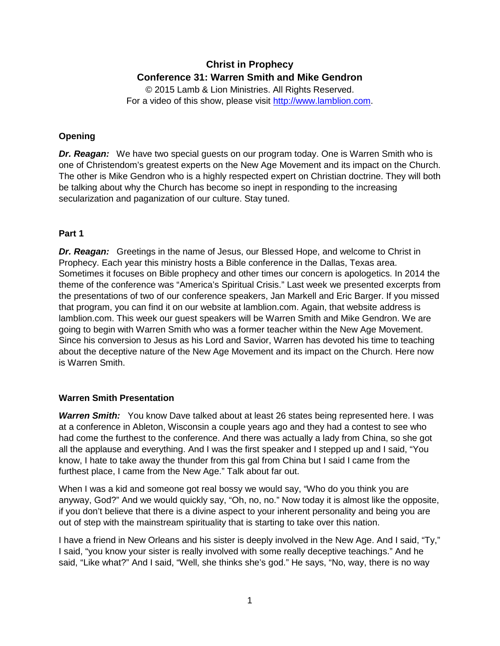# **Christ in Prophecy Conference 31: Warren Smith and Mike Gendron**

© 2015 Lamb & Lion Ministries. All Rights Reserved. For a video of this show, please visit [http://www.lamblion.com.](http://www.lamblion.com/)

# **Opening**

*Dr. Reagan:* We have two special guests on our program today. One is Warren Smith who is one of Christendom's greatest experts on the New Age Movement and its impact on the Church. The other is Mike Gendron who is a highly respected expert on Christian doctrine. They will both be talking about why the Church has become so inept in responding to the increasing secularization and paganization of our culture. Stay tuned.

## **Part 1**

**Dr. Reagan:** Greetings in the name of Jesus, our Blessed Hope, and welcome to Christ in Prophecy. Each year this ministry hosts a Bible conference in the Dallas, Texas area. Sometimes it focuses on Bible prophecy and other times our concern is apologetics. In 2014 the theme of the conference was "America's Spiritual Crisis." Last week we presented excerpts from the presentations of two of our conference speakers, Jan Markell and Eric Barger. If you missed that program, you can find it on our website at lamblion.com. Again, that website address is lamblion.com. This week our guest speakers will be Warren Smith and Mike Gendron. We are going to begin with Warren Smith who was a former teacher within the New Age Movement. Since his conversion to Jesus as his Lord and Savior, Warren has devoted his time to teaching about the deceptive nature of the New Age Movement and its impact on the Church. Here now is Warren Smith.

## **Warren Smith Presentation**

**Warren Smith:** You know Dave talked about at least 26 states being represented here. I was at a conference in Ableton, Wisconsin a couple years ago and they had a contest to see who had come the furthest to the conference. And there was actually a lady from China, so she got all the applause and everything. And I was the first speaker and I stepped up and I said, "You know, I hate to take away the thunder from this gal from China but I said I came from the furthest place, I came from the New Age." Talk about far out.

When I was a kid and someone got real bossy we would say, "Who do you think you are anyway, God?" And we would quickly say, "Oh, no, no." Now today it is almost like the opposite, if you don't believe that there is a divine aspect to your inherent personality and being you are out of step with the mainstream spirituality that is starting to take over this nation.

I have a friend in New Orleans and his sister is deeply involved in the New Age. And I said, "Ty," I said, "you know your sister is really involved with some really deceptive teachings." And he said, "Like what?" And I said, "Well, she thinks she's god." He says, "No, way, there is no way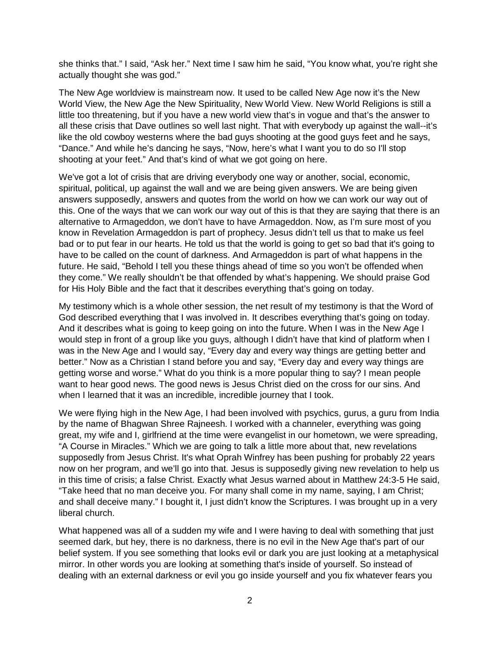she thinks that." I said, "Ask her." Next time I saw him he said, "You know what, you're right she actually thought she was god."

The New Age worldview is mainstream now. It used to be called New Age now it's the New World View, the New Age the New Spirituality, New World View. New World Religions is still a little too threatening, but if you have a new world view that's in vogue and that's the answer to all these crisis that Dave outlines so well last night. That with everybody up against the wall--it's like the old cowboy westerns where the bad guys shooting at the good guys feet and he says, "Dance." And while he's dancing he says, "Now, here's what I want you to do so I'll stop shooting at your feet." And that's kind of what we got going on here.

We've got a lot of crisis that are driving everybody one way or another, social, economic, spiritual, political, up against the wall and we are being given answers. We are being given answers supposedly, answers and quotes from the world on how we can work our way out of this. One of the ways that we can work our way out of this is that they are saying that there is an alternative to Armageddon, we don't have to have Armageddon. Now, as I'm sure most of you know in Revelation Armageddon is part of prophecy. Jesus didn't tell us that to make us feel bad or to put fear in our hearts. He told us that the world is going to get so bad that it's going to have to be called on the count of darkness. And Armageddon is part of what happens in the future. He said, "Behold I tell you these things ahead of time so you won't be offended when they come." We really shouldn't be that offended by what's happening. We should praise God for His Holy Bible and the fact that it describes everything that's going on today.

My testimony which is a whole other session, the net result of my testimony is that the Word of God described everything that I was involved in. It describes everything that's going on today. And it describes what is going to keep going on into the future. When I was in the New Age I would step in front of a group like you guys, although I didn't have that kind of platform when I was in the New Age and I would say, "Every day and every way things are getting better and better." Now as a Christian I stand before you and say, "Every day and every way things are getting worse and worse." What do you think is a more popular thing to say? I mean people want to hear good news. The good news is Jesus Christ died on the cross for our sins. And when I learned that it was an incredible, incredible journey that I took.

We were flying high in the New Age, I had been involved with psychics, gurus, a guru from India by the name of Bhagwan Shree Rajneesh. I worked with a channeler, everything was going great, my wife and I, girlfriend at the time were evangelist in our hometown, we were spreading, "A Course in Miracles." Which we are going to talk a little more about that, new revelations supposedly from Jesus Christ. It's what Oprah Winfrey has been pushing for probably 22 years now on her program, and we'll go into that. Jesus is supposedly giving new revelation to help us in this time of crisis; a false Christ. Exactly what Jesus warned about in Matthew 24:3-5 He said, "Take heed that no man deceive you. For many shall come in my name, saying, I am Christ; and shall deceive many." I bought it, I just didn't know the Scriptures. I was brought up in a very liberal church.

What happened was all of a sudden my wife and I were having to deal with something that just seemed dark, but hey, there is no darkness, there is no evil in the New Age that's part of our belief system. If you see something that looks evil or dark you are just looking at a metaphysical mirror. In other words you are looking at something that's inside of yourself. So instead of dealing with an external darkness or evil you go inside yourself and you fix whatever fears you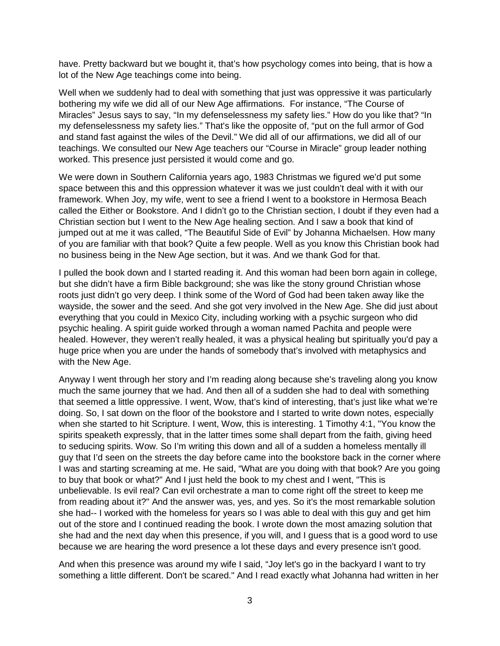have. Pretty backward but we bought it, that's how psychology comes into being, that is how a lot of the New Age teachings come into being.

Well when we suddenly had to deal with something that just was oppressive it was particularly bothering my wife we did all of our New Age affirmations. For instance, "The Course of Miracles" Jesus says to say, "In my defenselessness my safety lies." How do you like that? "In my defenselessness my safety lies." That's like the opposite of, "put on the full armor of God and stand fast against the wiles of the Devil." We did all of our affirmations, we did all of our teachings. We consulted our New Age teachers our "Course in Miracle" group leader nothing worked. This presence just persisted it would come and go.

We were down in Southern California years ago, 1983 Christmas we figured we'd put some space between this and this oppression whatever it was we just couldn't deal with it with our framework. When Joy, my wife, went to see a friend I went to a bookstore in Hermosa Beach called the Either or Bookstore. And I didn't go to the Christian section, I doubt if they even had a Christian section but I went to the New Age healing section. And I saw a book that kind of jumped out at me it was called, "The Beautiful Side of Evil" by Johanna Michaelsen. How many of you are familiar with that book? Quite a few people. Well as you know this Christian book had no business being in the New Age section, but it was. And we thank God for that.

I pulled the book down and I started reading it. And this woman had been born again in college, but she didn't have a firm Bible background; she was like the stony ground Christian whose roots just didn't go very deep. I think some of the Word of God had been taken away like the wayside, the sower and the seed. And she got very involved in the New Age. She did just about everything that you could in Mexico City, including working with a psychic surgeon who did psychic healing. A spirit guide worked through a woman named Pachita and people were healed. However, they weren't really healed, it was a physical healing but spiritually you'd pay a huge price when you are under the hands of somebody that's involved with metaphysics and with the New Age.

Anyway I went through her story and I'm reading along because she's traveling along you know much the same journey that we had. And then all of a sudden she had to deal with something that seemed a little oppressive. I went, Wow, that's kind of interesting, that's just like what we're doing. So, I sat down on the floor of the bookstore and I started to write down notes, especially when she started to hit Scripture. I went, Wow, this is interesting. 1 Timothy 4:1, "You know the spirits speaketh expressly, that in the latter times some shall depart from the faith, giving heed to seducing spirits. Wow. So I'm writing this down and all of a sudden a homeless mentally ill guy that I'd seen on the streets the day before came into the bookstore back in the corner where I was and starting screaming at me. He said, "What are you doing with that book? Are you going to buy that book or what?" And I just held the book to my chest and I went, "This is unbelievable. Is evil real? Can evil orchestrate a man to come right off the street to keep me from reading about it?" And the answer was, yes, and yes. So it's the most remarkable solution she had-- I worked with the homeless for years so I was able to deal with this guy and get him out of the store and I continued reading the book. I wrote down the most amazing solution that she had and the next day when this presence, if you will, and I guess that is a good word to use because we are hearing the word presence a lot these days and every presence isn't good.

And when this presence was around my wife I said, "Joy let's go in the backyard I want to try something a little different. Don't be scared." And I read exactly what Johanna had written in her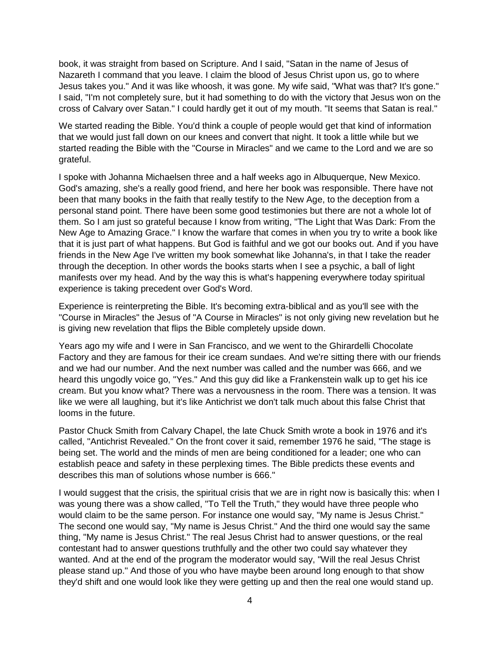book, it was straight from based on Scripture. And I said, "Satan in the name of Jesus of Nazareth I command that you leave. I claim the blood of Jesus Christ upon us, go to where Jesus takes you." And it was like whoosh, it was gone. My wife said, "What was that? It's gone." I said, "I'm not completely sure, but it had something to do with the victory that Jesus won on the cross of Calvary over Satan." I could hardly get it out of my mouth. "It seems that Satan is real."

We started reading the Bible. You'd think a couple of people would get that kind of information that we would just fall down on our knees and convert that night. It took a little while but we started reading the Bible with the "Course in Miracles" and we came to the Lord and we are so grateful.

I spoke with Johanna Michaelsen three and a half weeks ago in Albuquerque, New Mexico. God's amazing, she's a really good friend, and here her book was responsible. There have not been that many books in the faith that really testify to the New Age, to the deception from a personal stand point. There have been some good testimonies but there are not a whole lot of them. So I am just so grateful because I know from writing, "The Light that Was Dark: From the New Age to Amazing Grace." I know the warfare that comes in when you try to write a book like that it is just part of what happens. But God is faithful and we got our books out. And if you have friends in the New Age I've written my book somewhat like Johanna's, in that I take the reader through the deception. In other words the books starts when I see a psychic, a ball of light manifests over my head. And by the way this is what's happening everywhere today spiritual experience is taking precedent over God's Word.

Experience is reinterpreting the Bible. It's becoming extra-biblical and as you'll see with the "Course in Miracles" the Jesus of "A Course in Miracles" is not only giving new revelation but he is giving new revelation that flips the Bible completely upside down.

Years ago my wife and I were in San Francisco, and we went to the Ghirardelli Chocolate Factory and they are famous for their ice cream sundaes. And we're sitting there with our friends and we had our number. And the next number was called and the number was 666, and we heard this ungodly voice go, "Yes." And this guy did like a Frankenstein walk up to get his ice cream. But you know what? There was a nervousness in the room. There was a tension. It was like we were all laughing, but it's like Antichrist we don't talk much about this false Christ that looms in the future.

Pastor Chuck Smith from Calvary Chapel, the late Chuck Smith wrote a book in 1976 and it's called, "Antichrist Revealed." On the front cover it said, remember 1976 he said, "The stage is being set. The world and the minds of men are being conditioned for a leader; one who can establish peace and safety in these perplexing times. The Bible predicts these events and describes this man of solutions whose number is 666."

I would suggest that the crisis, the spiritual crisis that we are in right now is basically this: when I was young there was a show called, "To Tell the Truth," they would have three people who would claim to be the same person. For instance one would say, "My name is Jesus Christ." The second one would say, "My name is Jesus Christ." And the third one would say the same thing, "My name is Jesus Christ." The real Jesus Christ had to answer questions, or the real contestant had to answer questions truthfully and the other two could say whatever they wanted. And at the end of the program the moderator would say, "Will the real Jesus Christ please stand up." And those of you who have maybe been around long enough to that show they'd shift and one would look like they were getting up and then the real one would stand up.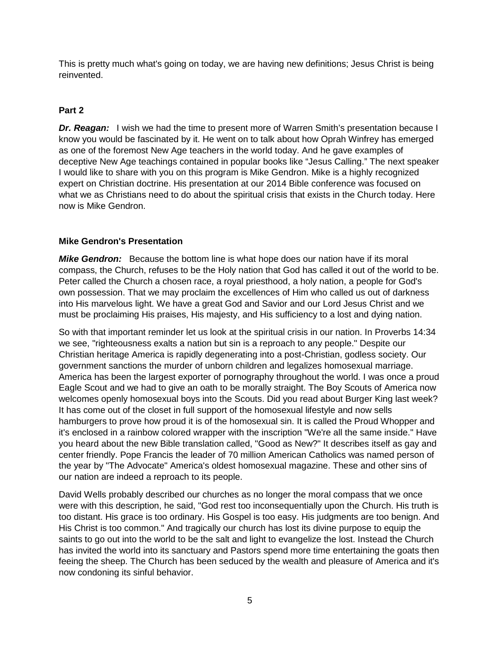This is pretty much what's going on today, we are having new definitions; Jesus Christ is being reinvented.

#### **Part 2**

**Dr. Reagan:** I wish we had the time to present more of Warren Smith's presentation because I know you would be fascinated by it. He went on to talk about how Oprah Winfrey has emerged as one of the foremost New Age teachers in the world today. And he gave examples of deceptive New Age teachings contained in popular books like "Jesus Calling." The next speaker I would like to share with you on this program is Mike Gendron. Mike is a highly recognized expert on Christian doctrine. His presentation at our 2014 Bible conference was focused on what we as Christians need to do about the spiritual crisis that exists in the Church today. Here now is Mike Gendron.

#### **Mike Gendron's Presentation**

*Mike Gendron:* Because the bottom line is what hope does our nation have if its moral compass, the Church, refuses to be the Holy nation that God has called it out of the world to be. Peter called the Church a chosen race, a royal priesthood, a holy nation, a people for God's own possession. That we may proclaim the excellences of Him who called us out of darkness into His marvelous light. We have a great God and Savior and our Lord Jesus Christ and we must be proclaiming His praises, His majesty, and His sufficiency to a lost and dying nation.

So with that important reminder let us look at the spiritual crisis in our nation. In Proverbs 14:34 we see, "righteousness exalts a nation but sin is a reproach to any people." Despite our Christian heritage America is rapidly degenerating into a post-Christian, godless society. Our government sanctions the murder of unborn children and legalizes homosexual marriage. America has been the largest exporter of pornography throughout the world. I was once a proud Eagle Scout and we had to give an oath to be morally straight. The Boy Scouts of America now welcomes openly homosexual boys into the Scouts. Did you read about Burger King last week? It has come out of the closet in full support of the homosexual lifestyle and now sells hamburgers to prove how proud it is of the homosexual sin. It is called the Proud Whopper and it's enclosed in a rainbow colored wrapper with the inscription "We're all the same inside." Have you heard about the new Bible translation called, "Good as New?" It describes itself as gay and center friendly. Pope Francis the leader of 70 million American Catholics was named person of the year by "The Advocate" America's oldest homosexual magazine. These and other sins of our nation are indeed a reproach to its people.

David Wells probably described our churches as no longer the moral compass that we once were with this description, he said, "God rest too inconsequentially upon the Church. His truth is too distant. His grace is too ordinary. His Gospel is too easy. His judgments are too benign. And His Christ is too common." And tragically our church has lost its divine purpose to equip the saints to go out into the world to be the salt and light to evangelize the lost. Instead the Church has invited the world into its sanctuary and Pastors spend more time entertaining the goats then feeing the sheep. The Church has been seduced by the wealth and pleasure of America and it's now condoning its sinful behavior.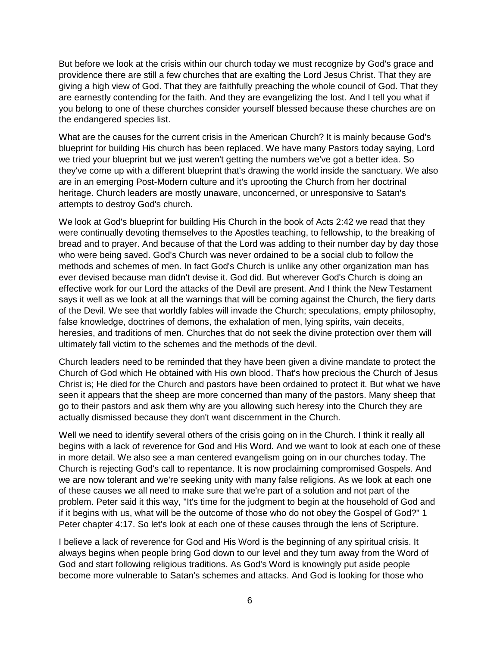But before we look at the crisis within our church today we must recognize by God's grace and providence there are still a few churches that are exalting the Lord Jesus Christ. That they are giving a high view of God. That they are faithfully preaching the whole council of God. That they are earnestly contending for the faith. And they are evangelizing the lost. And I tell you what if you belong to one of these churches consider yourself blessed because these churches are on the endangered species list.

What are the causes for the current crisis in the American Church? It is mainly because God's blueprint for building His church has been replaced. We have many Pastors today saying, Lord we tried your blueprint but we just weren't getting the numbers we've got a better idea. So they've come up with a different blueprint that's drawing the world inside the sanctuary. We also are in an emerging Post-Modern culture and it's uprooting the Church from her doctrinal heritage. Church leaders are mostly unaware, unconcerned, or unresponsive to Satan's attempts to destroy God's church.

We look at God's blueprint for building His Church in the book of Acts 2:42 we read that they were continually devoting themselves to the Apostles teaching, to fellowship, to the breaking of bread and to prayer. And because of that the Lord was adding to their number day by day those who were being saved. God's Church was never ordained to be a social club to follow the methods and schemes of men. In fact God's Church is unlike any other organization man has ever devised because man didn't devise it. God did. But wherever God's Church is doing an effective work for our Lord the attacks of the Devil are present. And I think the New Testament says it well as we look at all the warnings that will be coming against the Church, the fiery darts of the Devil. We see that worldly fables will invade the Church; speculations, empty philosophy, false knowledge, doctrines of demons, the exhalation of men, lying spirits, vain deceits, heresies, and traditions of men. Churches that do not seek the divine protection over them will ultimately fall victim to the schemes and the methods of the devil.

Church leaders need to be reminded that they have been given a divine mandate to protect the Church of God which He obtained with His own blood. That's how precious the Church of Jesus Christ is; He died for the Church and pastors have been ordained to protect it. But what we have seen it appears that the sheep are more concerned than many of the pastors. Many sheep that go to their pastors and ask them why are you allowing such heresy into the Church they are actually dismissed because they don't want discernment in the Church.

Well we need to identify several others of the crisis going on in the Church. I think it really all begins with a lack of reverence for God and His Word. And we want to look at each one of these in more detail. We also see a man centered evangelism going on in our churches today. The Church is rejecting God's call to repentance. It is now proclaiming compromised Gospels. And we are now tolerant and we're seeking unity with many false religions. As we look at each one of these causes we all need to make sure that we're part of a solution and not part of the problem. Peter said it this way, "It's time for the judgment to begin at the household of God and if it begins with us, what will be the outcome of those who do not obey the Gospel of God?" 1 Peter chapter 4:17. So let's look at each one of these causes through the lens of Scripture.

I believe a lack of reverence for God and His Word is the beginning of any spiritual crisis. It always begins when people bring God down to our level and they turn away from the Word of God and start following religious traditions. As God's Word is knowingly put aside people become more vulnerable to Satan's schemes and attacks. And God is looking for those who